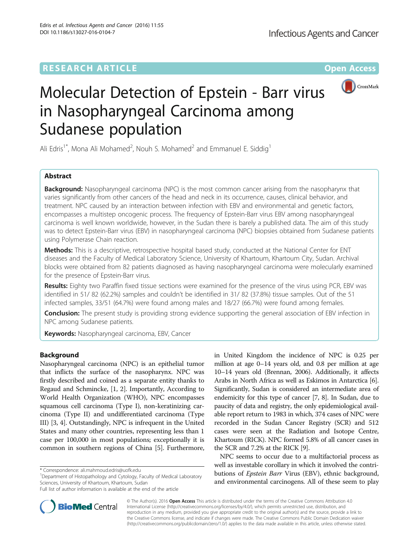# **RESEARCH ARTICLE Example 2014 12:30 The Contract of Contract ACCESS**



# Molecular Detection of Epstein - Barr virus in Nasopharyngeal Carcinoma among Sudanese population

Ali Edris<sup>1\*</sup>, Mona Ali Mohamed<sup>2</sup>, Nouh S. Mohamed<sup>2</sup> and Emmanuel E. Siddig<sup>1</sup>

# Abstract

**Background:** Nasopharyngeal carcinoma (NPC) is the most common cancer arising from the nasopharynx that varies significantly from other cancers of the head and neck in its occurrence, causes, clinical behavior, and treatment. NPC caused by an interaction between infection with EBV and environmental and genetic factors, encompasses a multistep oncogenic process. The frequency of Epstein-Barr virus EBV among nasopharyngeal carcinoma is well known worldwide, however, in the Sudan there is barely a published data. The aim of this study was to detect Epstein-Barr virus (EBV) in nasopharyngeal carcinoma (NPC) biopsies obtained from Sudanese patients using Polymerase Chain reaction.

Methods: This is a descriptive, retrospective hospital based study, conducted at the National Center for ENT diseases and the Faculty of Medical Laboratory Science, University of Khartoum, Khartoum City, Sudan. Archival blocks were obtained from 82 patients diagnosed as having nasopharyngeal carcinoma were molecularly examined for the presence of Epstein-Barr virus.

Results: Eighty two Paraffin fixed tissue sections were examined for the presence of the virus using PCR, EBV was identified in 51/ 82 (62.2%) samples and couldn't be identified in 31/ 82 (37.8%) tissue samples. Out of the 51 infected samples, 33/51 (64.7%) were found among males and 18/27 (66.7%) were found among females.

**Conclusion:** The present study is providing strong evidence supporting the general association of EBV infection in NPC among Sudanese patients.

Keywords: Nasopharyngeal carcinoma, EBV, Cancer

# Background

Nasopharyngeal carcinoma (NPC) is an epithelial tumor that inflicts the surface of the nasopharynx. NPC was firstly described and coined as a separate entity thanks to Regaud and Schmincke, [\[1](#page-3-0), [2\]](#page-3-0). Importantly, According to World Health Organization (WHO), NPC encompasses squamous cell carcinoma (Type I), non-keratinizing carcinoma (Type II) and undifferentiated carcinoma (Type III) [\[3](#page-4-0), [4](#page-4-0)]. Outstandingly, NPC is infrequent in the United States and many other countries, representing less than 1 case per 100,000 in most populations; exceptionally it is common in southern regions of China [\[5](#page-4-0)]. Furthermore,

<sup>1</sup>Department of Histopathology and Cytology, Faculty of Medical Laboratory Sciences, University of Khartoum, Khartoum, Sudan



NPC seems to occur due to a multifactorial process as well as investable corollary in which it involved the contributions of Epstein Barr Virus (EBV), ethnic background, and environmental carcinogens. All of these seem to play



© The Author(s). 2016 Open Access This article is distributed under the terms of the Creative Commons Attribution 4.0 International License [\(http://creativecommons.org/licenses/by/4.0/](http://creativecommons.org/licenses/by/4.0/)), which permits unrestricted use, distribution, and reproduction in any medium, provided you give appropriate credit to the original author(s) and the source, provide a link to the Creative Commons license, and indicate if changes were made. The Creative Commons Public Domain Dedication waiver [\(http://creativecommons.org/publicdomain/zero/1.0/](http://creativecommons.org/publicdomain/zero/1.0/)) applies to the data made available in this article, unless otherwise stated.

<sup>\*</sup> Correspondence: [ali.mahmoud.edris@uofk.edu](mailto:ali.mahmoud.edris@uofk.edu) <sup>1</sup>

Full list of author information is available at the end of the article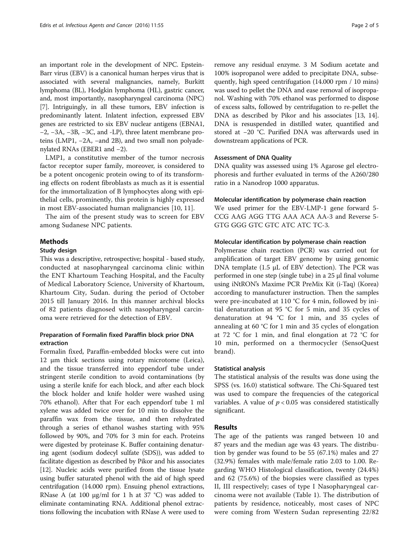an important role in the development of NPC. Epstein-Barr virus (EBV) is a canonical human herpes virus that is associated with several malignancies, namely, Burkitt lymphoma (BL), Hodgkin lymphoma (HL), gastric cancer, and, most importantly, nasopharyngeal carcinoma (NPC) [[7\]](#page-4-0). Intriguingly, in all these tumors, EBV infection is predominantly latent. Inlatent infection, expressed EBV genes are restricted to six EBV nuclear antigens (EBNA1, −2, −3A, −3B, −3C, and -LP), three latent membrane proteins (LMP1, −2A, −and 2B), and two small non polyadenylated RNAs (EBER1 and −2).

LMP1, a constitutive member of the tumor necrosis factor receptor super family, moreover, is considered to be a potent oncogenic protein owing to of its transforming effects on rodent fibroblasts as much as it is essential for the immortalization of B lymphocytes along with epithelial cells, prominently, this protein is highly expressed in most EBV-associated human malignancies [[10, 11\]](#page-4-0).

The aim of the present study was to screen for EBV among Sudanese NPC patients.

# Methods

## Study design

This was a descriptive, retrospective; hospital - based study, conducted at nasopharyngeal carcinoma clinic within the ENT Khartoum Teaching Hospital, and the Faculty of Medical Laboratory Science, University of Khartoum, Khartoum City, Sudan. during the period of October 2015 till January 2016. In this manner archival blocks of 82 patients diagnosed with nasopharyngeal carcinoma were retrieved for the detection of EBV.

# Preparation of Formalin fixed Paraffin block prior DNA extraction

Formalin fixed, Paraffin-embedded blocks were cut into 12 μm thick sections using rotary microtome (Leica), and the tissue transferred into eppendorf tube under stringent sterile condition to avoid contaminations (by using a sterile knife for each block, and after each block the block holder and knife holder were washed using 70% ethanol). After that For each eppendorf tube 1 ml xylene was added twice over for 10 min to dissolve the paraffin wax from the tissue, and then rehydrated through a series of ethanol washes starting with 95% followed by 90%, and 70% for 3 min for each. Proteins were digested by proteinase K. Buffer containing denaturing agent (sodium dodecyl sulfate (SDS)), was added to facilitate digestion as described by Pikor and his associates [[12](#page-4-0)]. Nucleic acids were purified from the tissue lysate using buffer saturated phenol with the aid of high speed centrifugation (14.000 rpm). Ensuing phenol extractions, RNase A (at 100  $\mu$ g/ml for 1 h at 37 °C) was added to eliminate contaminating RNA. Additional phenol extractions following the incubation with RNase A were used to remove any residual enzyme. 3 M Sodium acetate and 100% isopropanol were added to precipitate DNA, subsequently, high speed centrifugation (14.000 rpm / 10 mins) was used to pellet the DNA and ease removal of isopropanol. Washing with 70% ethanol was performed to dispose of excess salts, followed by centrifugation to re-pellet the DNA as described by Pikor and his associates [\[13](#page-4-0), [14](#page-4-0)]. DNA is resuspended in distilled water, quantified and stored at −20 °C. Purified DNA was afterwards used in downstream applications of PCR.

## Assessment of DNA Quality

DNA quality was assessed using 1% Agarose gel electrophoresis and further evaluated in terms of the A260/280 ratio in a Nanodrop 1000 apparatus.

## Molecular identification by polymerase chain reaction

We used primer for the EBV-LMP-1 gene forward 5- CCG AAG AGG TTG AAA ACA AA-3 and Reverse 5- GTG GGG GTC GTC ATC ATC TC-3.

## Molecular identification by polymerase chain reaction

Polymerase chain reaction (PCR) was carried out for amplification of target EBV genome by using genomic DNA template  $(1.5 \mu L)$  of EBV detection). The PCR was performed in one step (single tube) in a 25 μl final volume using iNtRON's Maxime PCR PreMix Kit (i-Taq) (Korea) according to manufacturer instruction. Then the samples were pre-incubated at 110 °C for 4 min, followed by initial denaturation at 95 °C for 5 min, and 35 cycles of denaturation at 94 °C for 1 min, and 35 cycles of annealing at 60 °C for 1 min and 35 cycles of elongation at 72 °C for 1 min, and final elongation at 72 °C for 10 min, performed on a thermocycler (SensoQuest brand).

## Statistical analysis

The statistical analysis of the results was done using the SPSS (vs. 16.0) statistical software. The Chi-Squared test was used to compare the frequencies of the categorical variables. A value of  $p < 0.05$  was considered statistically significant.

# Results

The age of the patients was ranged between 10 and 87 years and the median age was 43 years. The distribution by gender was found to be 55 (67.1%) males and 27 (32.9%) females with male/female ratio 2.03 to 1.00. Regarding WHO Histological classification, twenty (24.4%) and 62 (75.6%) of the biopsies were classified as types II, III respectively; cases of type I Nasopharyngeal carcinoma were not available (Table [1\)](#page-2-0). The distribution of patients by residence, noticeably, most cases of NPC were coming from Western Sudan representing 22/82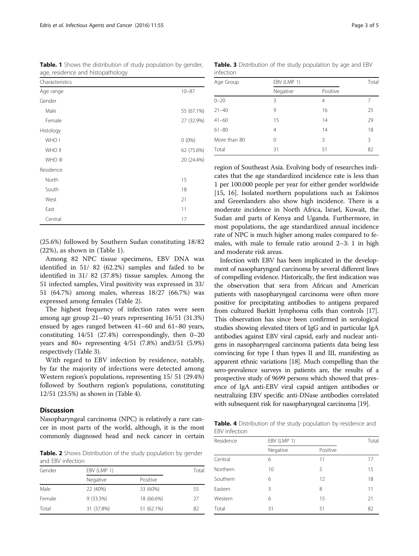| Characteristics |            |
|-----------------|------------|
| Age range       | $10 - 87$  |
| Gender          |            |
| Male            | 55 (67.1%) |
| Female          | 27 (32.9%) |
| Histology       |            |
| WHO I           | $0(0\%)$   |
| WHO II          | 62 (75.6%) |
| WHO III         | 20 (24.4%) |
| Residence       |            |
| North           | 15         |
| South           | 18         |
| West            | 21         |
| East            | 11         |
| Central         | 17         |

<span id="page-2-0"></span>Table. 1 Shows the distribution of study population by gender, age, residence and histopathology

(25.6%) followed by Southern Sudan constituting 18/82 (22%), as shown in (Table 1).

Among 82 NPC tissue specimens, EBV DNA was identified in 51/ 82 (62.2%) samples and failed to be identified in 31/ 82 (37.8%) tissue samples. Among the 51 infected samples, Viral positivity was expressed in 33/ 51 (64.7%) among males, whereas 18/27 (66.7%) was expressed among females (Table 2).

The highest frequency of infection rates were seen among age group 21–40 years representing 16/51 (31.3%) ensued by ages ranged between 41–60 and 61–80 years, constituting 14/51 (27.4%) correspondingly, then 0–20 years and 80+ representing 4/51 (7.8%) and3/51 (5.9%) respectively (Table 3).

With regard to EBV infection by residence, notably, by far the majority of infections were detected among Western region's populations, representing 15/ 51 (29.4%) followed by Southern region's populations, constituting 12/51 (23.5%) as shown in (Table 4).

# **Discussion**

Nasopharyngeal carcinoma (NPC) is relatively a rare cancer in most parts of the world, although, it is the most commonly diagnosed head and neck cancer in certain

Table. 2 Shows Distribution of the study population by gender and EBV infection

| Gender | EBV (LMP 1) |            |    |
|--------|-------------|------------|----|
|        | Negative    | Positive   |    |
| Male   | 22 (40%)    | 33 (60%)   | 55 |
| Female | 9 (33.3%)   | 18 (66.6%) | 27 |
| Total  | 31 (37.8%)  | 51 (62.1%) | 82 |

Table. 3 Distribution of the study population by age and EBV infection

| Age Group    | EBV (LMP 1)    |          | Total |
|--------------|----------------|----------|-------|
|              | Negative       | Positive |       |
| $0 - 20$     | 3              | 4        | 7     |
| $21 - 40$    | 9              | 16       | 25    |
| $41 - 60$    | 15             | 14       | 29    |
| $61 - 80$    | $\overline{4}$ | 14       | 18    |
| More than 80 | 0              | 3        | 3     |
| Total        | 31             | 51       | 82    |

region of Southeast Asia. Evolving body of researches indicates that the age standardized incidence rate is less than 1 per 100.000 people per year for either gender worldwide [[15](#page-4-0), [16\]](#page-4-0). Isolated northern populations such as Eskimos and Greenlanders also show high incidence. There is a moderate incidence in North Africa, Israel, Kuwait, the Sudan and parts of Kenya and Uganda. Furthermore, in most populations, the age standardized annual incidence rate of NPC is much higher among males compared to females, with male to female ratio around 2–3: 1 in high and moderate risk areas.

Infection with EBV has been implicated in the development of nasopharyngeal carcinoma by several different lines of compelling evidence. Historically, the first indication was the observation that sera from African and American patients with nasopharyngeal carcinoma were often more positive for precipitating antibodies to antigens prepared from cultured Burkitt lymphoma cells than controls [\[17](#page-4-0)]. This observation has since been confirmed in serological studies showing elevated titers of IgG and in particular IgA antibodies against EBV viral capsid, early and nuclear antigens in nasopharyngeal carcinoma patients data being less convincing for type I than types II and III, manifesting as apparent ethnic variations [\[18\]](#page-4-0). Much compelling than the sero-prevalence surveys in patients are, the results of a prospective study of 9699 persons which showed that presence of IgA anti-EBV viral capsid antigen antibodies or neutralizing EBV specific anti-DNase antibodies correlated with subsequent risk for nasopharyngeal carcinoma [\[19\]](#page-4-0).

Table. 4 Distribution of the study population by residence and EBV infection

| Residence | EBV (LMP 1) |          | Total |
|-----------|-------------|----------|-------|
|           | Negative    | Positive |       |
| Central   | 6           | 11       | 17    |
| Northern  | 10          | 5        | 15    |
| Southern  | 6           | 12       | 18    |
| Eastern   | 3           | 8        | 11    |
| Western   | 6           | 15       | 21    |
| Total     | 31          | 51       | 82    |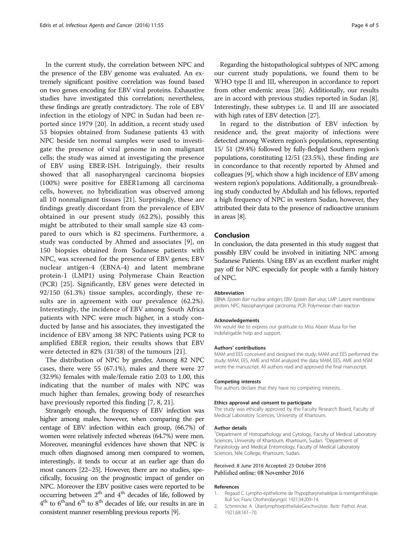<span id="page-3-0"></span>In the current study, the correlation between NPC and the presence of the EBV genome was evaluated. An extremely significant positive correlation was found based on two genes encoding for EBV viral proteins. Exhaustive studies have investigated this correlation; nevertheless, these findings are greatly contradictory. The role of EBV infection in the etiology of NPC in Sudan had been reported since 1979 [[20](#page-4-0)]. In addition, a recent study used 53 biopsies obtained from Sudanese patients 43 with NPC beside ten normal samples were used to investigate the presence of viral genome in non malignant cells; the study was aimed at investigating the presence of EBV using EBER-ISH. Intriguingly, their results showed that all nasopharyngeal carcinoma biopsies (100%) were positive for EBER1among all carcinoma cells, however, no hybridization was observed among all 10 nonmalignant tissues [[21\]](#page-4-0). Surprisingly, these are findings greatly discordant from the prevalence of EBV obtained in our present study (62.2%), possibly this might be attributed to their small sample size 43 compared to ours which is 82 specimens. Furthermore, a study was conducted by Ahmed and associates [\[9](#page-4-0)], on 150 biopsies obtained from Sudanese patients with NPC, was screened for the presence of EBV genes; EBV nuclear antigen-4 (EBNA-4) and latent membrane protein-1 (LMP1) using Polymerase Chain Reaction (PCR) [[25\]](#page-4-0). Significantly, EBV genes were detected in 92/150 (61.3%) tissue samples, accordingly, these results are in agreement with our prevalence (62.2%). Interestingly, the incidence of EBV among South Africa patients with NPC were much higher, in a study conducted by Janse and his associates, they investigated the incidence of EBV among 38 NPC Patients using PCR to amplified EBER region, their results shows that EBV were detected in 82% (31/38) of the tumours [[21](#page-4-0)].

The distribution of NPC by gender, Among 82 NPC cases, there were 55 (67.1%), males and there were 27 (32.9%) females with male/female ratio 2.03 to 1.00, this indicating that the number of males with NPC was much higher than females, growing body of researches have previously reported this finding [\[7](#page-4-0), [8](#page-4-0), [21\]](#page-4-0).

Strangely enough, the frequency of EBV infection was higher among males, however, when comparing the per centage of EBV infection within each group, (66.7%) of women were relatively infected whereas (64.7%) were men. Moreover, meaningful evidences have shown that NPC is much often diagnosed among men compared to women, interestingly, it tends to occur at an earlier age than do most cancers [\[22](#page-4-0)–[25](#page-4-0)]. However, there are no studies, specifically, focusing on the prognostic impact of gender on NPC. Moreover the EBV positive cases were reported to be occurring between  $2<sup>th</sup>$  and  $4<sup>th</sup>$  decades of life, followed by  $4<sup>th</sup>$  to  $6<sup>th</sup>$  and  $6<sup>th</sup>$  to  $8<sup>th</sup>$  decades of life, our results in are in consistent manner resembling previous reports [\[9](#page-4-0)].

Regarding the histopathological subtypes of NPC among our current study populations, we found them to be WHO type II and III, whereupon in accordance to report from other endemic areas [[26](#page-4-0)]. Additionally, our results are in accord with previous studies reported in Sudan [[8](#page-4-0)]. Interestingly, these subtypes i.e. II and III are associated with high rates of EBV detection [[27](#page-4-0)].

In regard to the distribution of EBV infection by residence and, the great majority of infections were detected among Western region's populations, representing 15/ 51 (29.4%) followed by fully-fledged Southern region's populations, constituting 12/51 (23.5%), these finding are in concordance to that recently reported by Ahmed and colleagues [\[9\]](#page-4-0), which show a high incidence of EBV among western region's populations. Additionally, a groundbreaking study conducted by Abdullah and his fellows, reported a high frequency of NPC in western Sudan, however, they attributed their data to the presence of radioactive uranium in areas [\[8](#page-4-0)].

# Conclusion

In conclusion, the data presented in this study suggest that possibly EBV could be involved in initiating NPC among Sudanese Patients. Using EBV as an excellent marker might pay off for NPC especially for people with a family history of NPC.

#### Abbreviation

EBNA: Epstein Barr nuclear antigen; EBV: Epstein Barr virus; LMP: Latent membrane protein; NPC: Nasopharyngeal carcinoma; PCR: Polymerase chain reaction

#### Acknowledgements

We would like to express our gratitude to Miss Abeer Musa for her indefatigable help and support.

#### Authors' contributions

MAM and EES conceived and designed the study; MAM and EES performed the study; MAM, EES, AME and NSM analyzed the data; MAM, EES, AME and NSM wrote the manuscript. All authors read and approved the final manuscript.

#### Competing interests

The authors declare that they have no competing interests.

#### Ethics approval and consent to participate

The study was ethically approved by the Faculty Research Board, Faculty of Medical Laboratory Sciences, University of Khartoum.

#### Author details

<sup>1</sup>Department of Histopathology and Cytology, Faculty of Medical Laboratory Sciences, University of Khartoum, Khartoum, Sudan. <sup>2</sup>Department of Parasitology and Medical Entomology, Faculty of Medical Laboratory Sciences, Nile College, Khartoum, Sudan.

#### Received: 8 June 2016 Accepted: 23 October 2016 Published online: 08 November 2016

#### References

- 1. Regaud C. Lympho-épitheliome de l'hypopharynxtraitépar la roentgenthérapie. Bull Soc Franc Otorhinolaryngol. 1921;34:209–14.
- 2. Schmincke A. ÜberlymphoepithelialeGeschwülste. Beitr Pathol Anat. 1921;68:161–70.